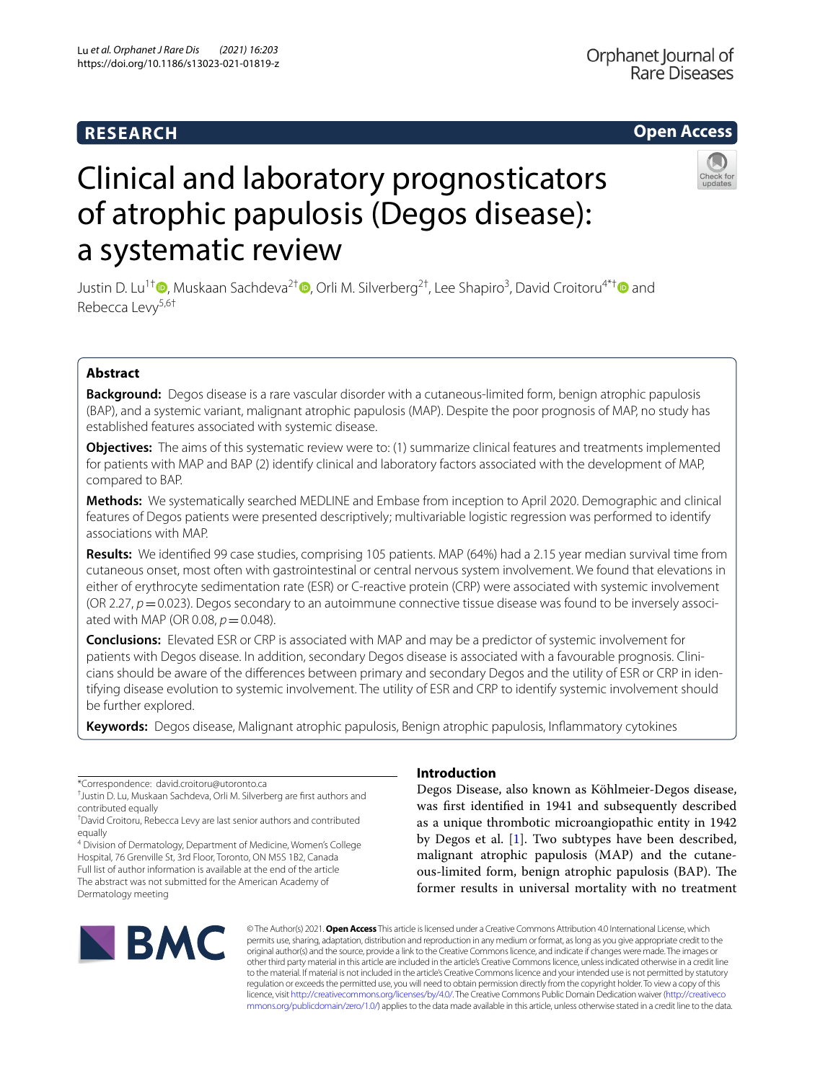# **RESEARCH**

# **Open Access**

# Clinical and laboratory prognosticators of atrophic papulosis (Degos disease): a systematic review



Justin D. Lu<sup>1†</sup> ®[,](http://orcid.org/0000-0001-6930-1109) Muskaan Sachdeva<sup>2† </sup>®[,](http://orcid.org/0000-0002-2252-5663) Orli M. Silverberg<sup>2[†](http://orcid.org/0000-0003-4637-2291)</sup>, Lee Shapiro<sup>3</sup>, David Croitoru<sup>4\*† ®</sup> and Rebecca Levy5,6†

# **Abstract**

**Background:** Degos disease is a rare vascular disorder with a cutaneous-limited form, benign atrophic papulosis (BAP), and a systemic variant, malignant atrophic papulosis (MAP). Despite the poor prognosis of MAP, no study has established features associated with systemic disease.

**Objectives:** The aims of this systematic review were to: (1) summarize clinical features and treatments implemented for patients with MAP and BAP (2) identify clinical and laboratory factors associated with the development of MAP, compared to BAP.

**Methods:** We systematically searched MEDLINE and Embase from inception to April 2020. Demographic and clinical features of Degos patients were presented descriptively; multivariable logistic regression was performed to identify associations with MAP.

**Results:** We identifed 99 case studies, comprising 105 patients. MAP (64%) had a 2.15 year median survival time from cutaneous onset, most often with gastrointestinal or central nervous system involvement. We found that elevations in either of erythrocyte sedimentation rate (ESR) or C-reactive protein (CRP) were associated with systemic involvement (OR 2.27, *p*=0.023). Degos secondary to an autoimmune connective tissue disease was found to be inversely associated with MAP (OR 0.08,  $p = 0.048$ ).

**Conclusions:** Elevated ESR or CRP is associated with MAP and may be a predictor of systemic involvement for patients with Degos disease. In addition, secondary Degos disease is associated with a favourable prognosis. Clinicians should be aware of the diferences between primary and secondary Degos and the utility of ESR or CRP in identifying disease evolution to systemic involvement. The utility of ESR and CRP to identify systemic involvement should be further explored.

**Keywords:** Degos disease, Malignant atrophic papulosis, Benign atrophic papulosis, Infammatory cytokines

4 Division of Dermatology, Department of Medicine, Women's College Hospital, 76 Grenville St, 3rd Floor, Toronto, ON M5S 1B2, Canada Full list of author information is available at the end of the article The abstract was not submitted for the American Academy of Dermatology meeting

# **Introduction**

Degos Disease, also known as Köhlmeier-Degos disease, was frst identifed in 1941 and subsequently described as a unique thrombotic microangiopathic entity in 1942 by Degos et al. [\[1](#page-7-0)]. Two subtypes have been described, malignant atrophic papulosis (MAP) and the cutaneous-limited form, benign atrophic papulosis (BAP). The former results in universal mortality with no treatment



© The Author(s) 2021. **Open Access** This article is licensed under a Creative Commons Attribution 4.0 International License, which permits use, sharing, adaptation, distribution and reproduction in any medium or format, as long as you give appropriate credit to the original author(s) and the source, provide a link to the Creative Commons licence, and indicate if changes were made. The images or other third party material in this article are included in the article's Creative Commons licence, unless indicated otherwise in a credit line to the material. If material is not included in the article's Creative Commons licence and your intended use is not permitted by statutory regulation or exceeds the permitted use, you will need to obtain permission directly from the copyright holder. To view a copy of this licence, visit [http://creativecommons.org/licenses/by/4.0/.](http://creativecommons.org/licenses/by/4.0/) The Creative Commons Public Domain Dedication waiver ([http://creativeco](http://creativecommons.org/publicdomain/zero/1.0/) [mmons.org/publicdomain/zero/1.0/](http://creativecommons.org/publicdomain/zero/1.0/)) applies to the data made available in this article, unless otherwise stated in a credit line to the data.

<sup>\*</sup>Correspondence: david.croitoru@utoronto.ca

<sup>†</sup> Justin D. Lu, Muskaan Sachdeva, Orli M. Silverberg are frst authors and contributed equally

<sup>†</sup> David Croitoru, Rebecca Levy are last senior authors and contributed equally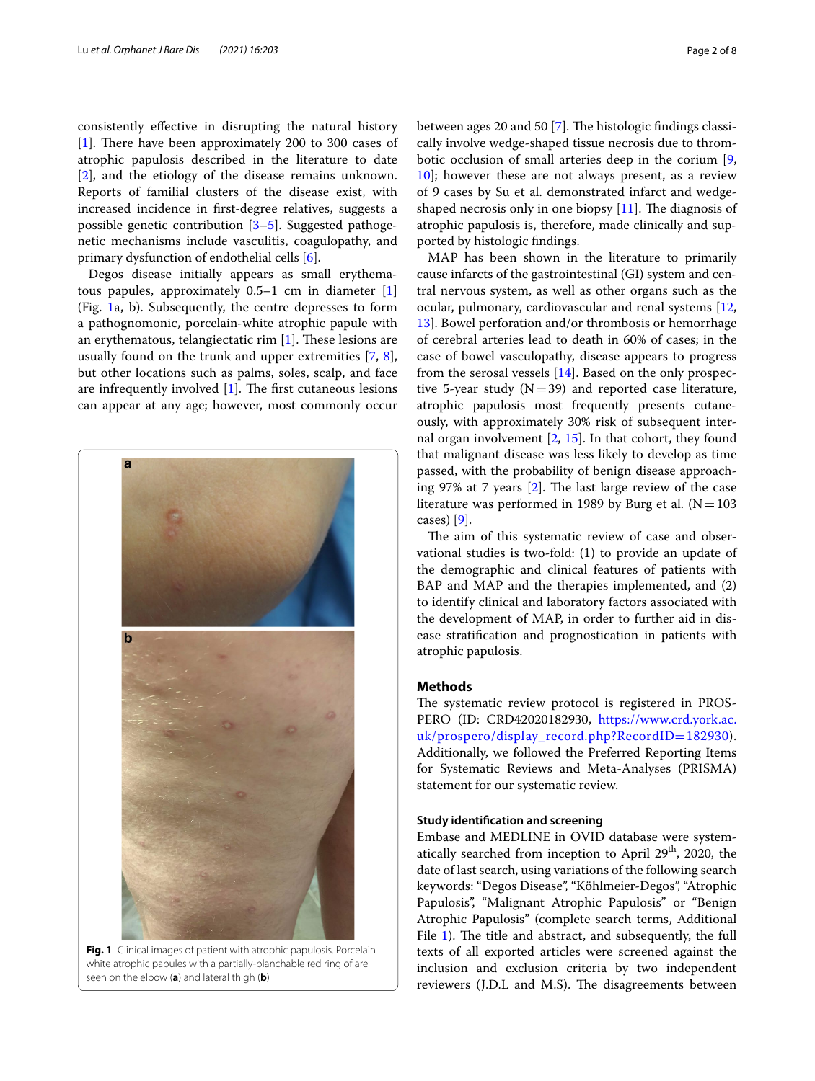consistently efective in disrupting the natural history [[1\]](#page-7-0). There have been approximately 200 to 300 cases of atrophic papulosis described in the literature to date [[2\]](#page-7-1), and the etiology of the disease remains unknown. Reports of familial clusters of the disease exist, with increased incidence in frst-degree relatives, suggests a possible genetic contribution [[3–](#page-7-2)[5\]](#page-7-3). Suggested pathogenetic mechanisms include vasculitis, coagulopathy, and primary dysfunction of endothelial cells [\[6](#page-7-4)].

Degos disease initially appears as small erythematous papules, approximately  $0.5-1$  cm in diameter  $[1]$  $[1]$ (Fig. [1](#page-1-0)a, b). Subsequently, the centre depresses to form a pathognomonic, porcelain-white atrophic papule with an erythematous, telangiectatic rim  $[1]$  $[1]$ . These lesions are usually found on the trunk and upper extremities [[7,](#page-7-5) [8](#page-7-6)], but other locations such as palms, soles, scalp, and face are infrequently involved  $[1]$  $[1]$ . The first cutaneous lesions can appear at any age; however, most commonly occur



<span id="page-1-0"></span>**Fig. 1** Clinical images of patient with atrophic papulosis. Porcelain white atrophic papules with a partially-blanchable red ring of are seen on the elbow (**a**) and lateral thigh (**b**)

between ages 20 and 50 [[7\]](#page-7-5). The histologic findings classically involve wedge-shaped tissue necrosis due to thrombotic occlusion of small arteries deep in the corium [\[9](#page-7-7), [10\]](#page-7-8); however these are not always present, as a review of 9 cases by Su et al. demonstrated infarct and wedgeshaped necrosis only in one biopsy  $[11]$  $[11]$ . The diagnosis of atrophic papulosis is, therefore, made clinically and supported by histologic fndings.

MAP has been shown in the literature to primarily cause infarcts of the gastrointestinal (GI) system and central nervous system, as well as other organs such as the ocular, pulmonary, cardiovascular and renal systems [[12](#page-7-10), [13\]](#page-7-11). Bowel perforation and/or thrombosis or hemorrhage of cerebral arteries lead to death in 60% of cases; in the case of bowel vasculopathy, disease appears to progress from the serosal vessels [[14\]](#page-7-12). Based on the only prospective 5-year study  $(N=39)$  and reported case literature, atrophic papulosis most frequently presents cutaneously, with approximately 30% risk of subsequent internal organ involvement  $[2, 15]$  $[2, 15]$  $[2, 15]$  $[2, 15]$ . In that cohort, they found that malignant disease was less likely to develop as time passed, with the probability of benign disease approaching 97% at 7 years  $[2]$  $[2]$ . The last large review of the case literature was performed in 1989 by Burg et al.  $(N=103)$ cases) [[9\]](#page-7-7).

The aim of this systematic review of case and observational studies is two-fold: (1) to provide an update of the demographic and clinical features of patients with BAP and MAP and the therapies implemented, and (2) to identify clinical and laboratory factors associated with the development of MAP, in order to further aid in disease stratifcation and prognostication in patients with atrophic papulosis.

## **Methods**

The systematic review protocol is registered in PROS-PERO (ID: CRD42020182930, [https://www.crd.york.ac.](https://www.crd.york.ac.uk/prospero/display_record.php?RecordID=182930) [uk/prospero/display\\_record.php?RecordID](https://www.crd.york.ac.uk/prospero/display_record.php?RecordID=182930)=182930). Additionally, we followed the Preferred Reporting Items for Systematic Reviews and Meta-Analyses (PRISMA) statement for our systematic review.

## **Study identifcation and screening**

Embase and MEDLINE in OVID database were systematically searched from inception to April 29<sup>th</sup>, 2020, the date of last search, using variations of the following search keywords: "Degos Disease", "Köhlmeier-Degos", "Atrophic Papulosis", "Malignant Atrophic Papulosis" or "Benign Atrophic Papulosis" (complete search terms, Additional File [1\)](#page-6-0). The title and abstract, and subsequently, the full texts of all exported articles were screened against the inclusion and exclusion criteria by two independent reviewers (J.D.L and M.S). The disagreements between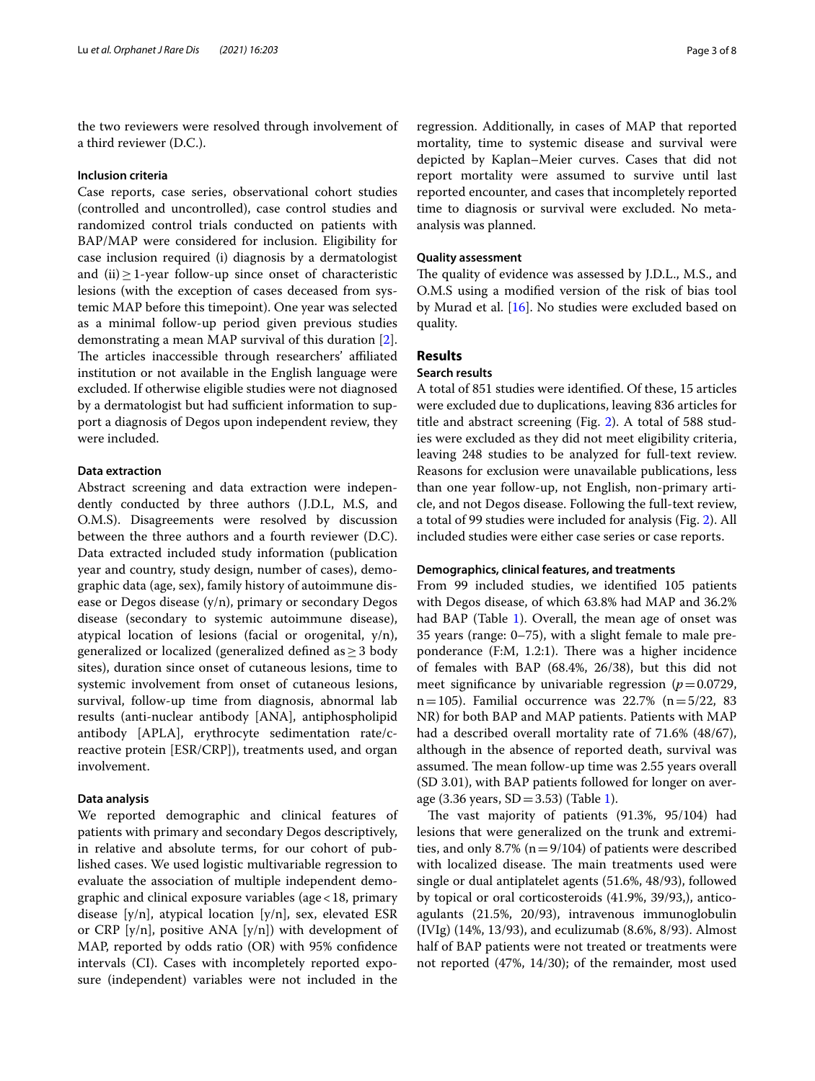the two reviewers were resolved through involvement of a third reviewer (D.C.).

## **Inclusion criteria**

Case reports, case series, observational cohort studies (controlled and uncontrolled), case control studies and randomized control trials conducted on patients with BAP/MAP were considered for inclusion. Eligibility for case inclusion required (i) diagnosis by a dermatologist and (ii)≥1-year follow-up since onset of characteristic lesions (with the exception of cases deceased from systemic MAP before this timepoint). One year was selected as a minimal follow-up period given previous studies demonstrating a mean MAP survival of this duration [\[2](#page-7-1)]. The articles inaccessible through researchers' affiliated institution or not available in the English language were excluded. If otherwise eligible studies were not diagnosed by a dermatologist but had sufficient information to support a diagnosis of Degos upon independent review, they were included.

# **Data extraction**

Abstract screening and data extraction were independently conducted by three authors (J.D.L, M.S, and O.M.S). Disagreements were resolved by discussion between the three authors and a fourth reviewer (D.C). Data extracted included study information (publication year and country, study design, number of cases), demographic data (age, sex), family history of autoimmune disease or Degos disease (y/n), primary or secondary Degos disease (secondary to systemic autoimmune disease), atypical location of lesions (facial or orogenital,  $y/n$ ), generalized or localized (generalized defned as≥3 body sites), duration since onset of cutaneous lesions, time to systemic involvement from onset of cutaneous lesions, survival, follow-up time from diagnosis, abnormal lab results (anti-nuclear antibody [ANA], antiphospholipid antibody [APLA], erythrocyte sedimentation rate/creactive protein [ESR/CRP]), treatments used, and organ involvement.

# **Data analysis**

We reported demographic and clinical features of patients with primary and secondary Degos descriptively, in relative and absolute terms, for our cohort of published cases. We used logistic multivariable regression to evaluate the association of multiple independent demographic and clinical exposure variables (age  $< 18$ , primary disease [y/n], atypical location [y/n], sex, elevated ESR or CRP [y/n], positive ANA [y/n]) with development of MAP, reported by odds ratio (OR) with 95% confdence intervals (CI). Cases with incompletely reported exposure (independent) variables were not included in the

regression. Additionally, in cases of MAP that reported mortality, time to systemic disease and survival were depicted by Kaplan–Meier curves. Cases that did not report mortality were assumed to survive until last reported encounter, and cases that incompletely reported time to diagnosis or survival were excluded. No metaanalysis was planned.

## **Quality assessment**

The quality of evidence was assessed by J.D.L., M.S., and O.M.S using a modifed version of the risk of bias tool by Murad et al. [\[16](#page-7-14)]. No studies were excluded based on quality.

# **Results**

# **Search results**

A total of 851 studies were identifed. Of these, 15 articles were excluded due to duplications, leaving 836 articles for title and abstract screening (Fig. [2](#page-3-0)). A total of 588 studies were excluded as they did not meet eligibility criteria, leaving 248 studies to be analyzed for full-text review. Reasons for exclusion were unavailable publications, less than one year follow-up, not English, non-primary article, and not Degos disease. Following the full-text review, a total of 99 studies were included for analysis (Fig. [2\)](#page-3-0). All included studies were either case series or case reports.

## **Demographics, clinical features, and treatments**

From 99 included studies, we identifed 105 patients with Degos disease, of which 63.8% had MAP and 36.2% had BAP (Table [1\)](#page-4-0). Overall, the mean age of onset was 35 years (range: 0–75), with a slight female to male preponderance  $(F:M, 1.2:1)$ . There was a higher incidence of females with BAP (68.4%, 26/38), but this did not meet significance by univariable regression  $(p=0.0729,$  $n=105$ ). Familial occurrence was 22.7% ( $n=5/22$ , 83 NR) for both BAP and MAP patients. Patients with MAP had a described overall mortality rate of 71.6% (48/67), although in the absence of reported death, survival was assumed. The mean follow-up time was 2.55 years overall (SD 3.01), with BAP patients followed for longer on average (3.36 years,  $SD = 3.53$ ) (Table [1](#page-4-0)).

The vast majority of patients  $(91.3\%, 95/104)$  had lesions that were generalized on the trunk and extremities, and only 8.7% ( $n=9/104$ ) of patients were described with localized disease. The main treatments used were single or dual antiplatelet agents (51.6%, 48/93), followed by topical or oral corticosteroids (41.9%, 39/93,), anticoagulants (21.5%, 20/93), intravenous immunoglobulin (IVIg) (14%, 13/93), and eculizumab (8.6%, 8/93). Almost half of BAP patients were not treated or treatments were not reported (47%, 14/30); of the remainder, most used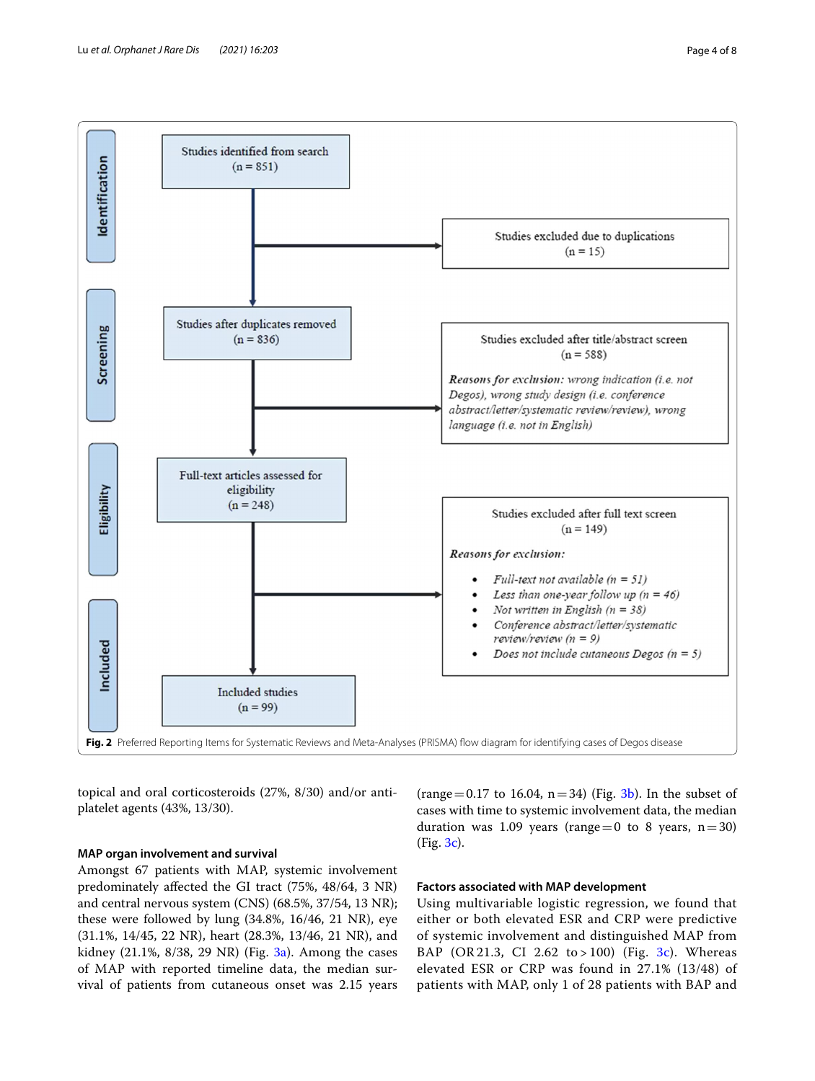

<span id="page-3-0"></span>topical and oral corticosteroids (27%, 8/30) and/or antiplatelet agents (43%, 13/30).

# **MAP organ involvement and survival**

Amongst 67 patients with MAP, systemic involvement predominately afected the GI tract (75%, 48/64, 3 NR) and central nervous system (CNS) (68.5%, 37/54, 13 NR); these were followed by lung (34.8%, 16/46, 21 NR), eye (31.1%, 14/45, 22 NR), heart (28.3%, 13/46, 21 NR), and kidney (21.1%,  $8/38$ , 29 NR) (Fig.  $3a$ ). Among the cases of MAP with reported timeline data, the median survival of patients from cutaneous onset was 2.15 years

(range = 0.17 to 16.04,  $n=34$ ) (Fig. [3b\)](#page-5-0). In the subset of cases with time to systemic involvement data, the median duration was 1.09 years (range=0 to 8 years,  $n=30$ ) (Fig. [3c](#page-5-0)).

# **Factors associated with MAP development**

Using multivariable logistic regression, we found that either or both elevated ESR and CRP were predictive of systemic involvement and distinguished MAP from BAP (OR 21.3, CI 2.62 to > 100) (Fig. [3c\)](#page-5-0). Whereas elevated ESR or CRP was found in 27.1% (13/48) of patients with MAP, only 1 of 28 patients with BAP and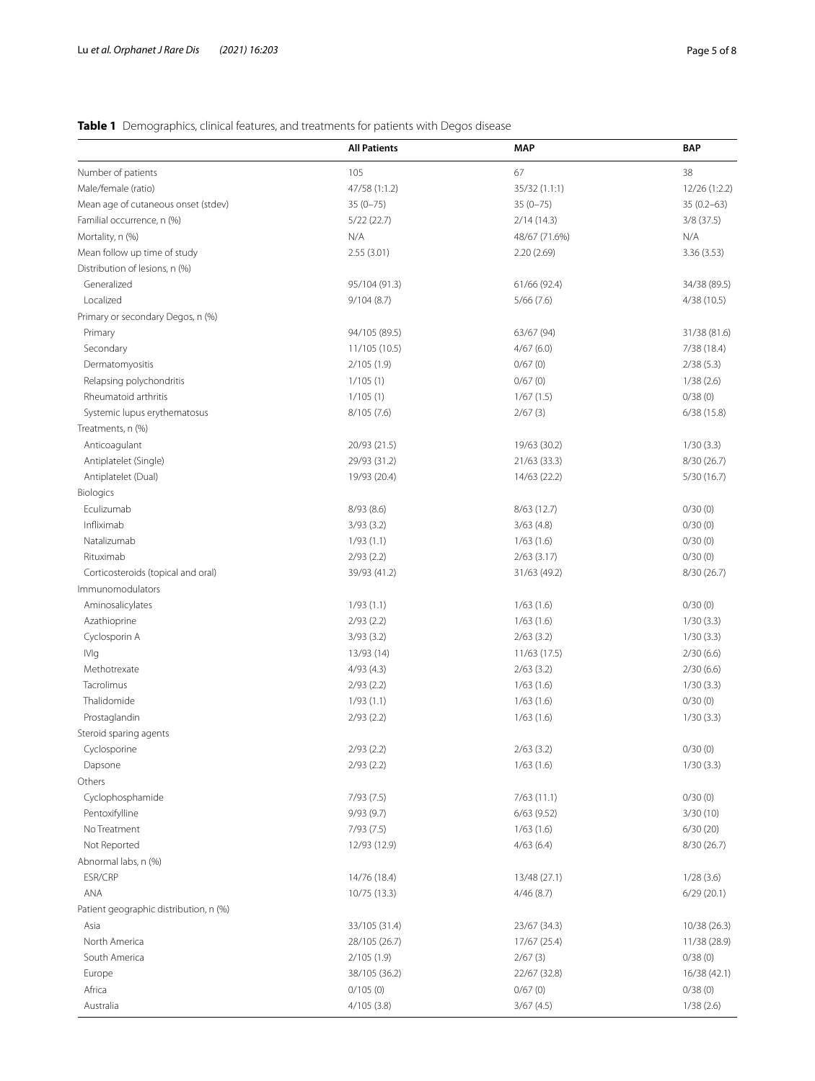# <span id="page-4-0"></span>**Table 1** Demographics, clinical features, and treatments for patients with Degos disease

|                                        | <b>All Patients</b> | <b>MAP</b>    | <b>BAP</b>     |
|----------------------------------------|---------------------|---------------|----------------|
| Number of patients                     | 105                 | 67            | 38             |
| Male/female (ratio)                    | 47/58 (1:1.2)       | 35/32 (1.1:1) | 12/26 (1:2.2)  |
| Mean age of cutaneous onset (stdev)    | $35(0 - 75)$        | $35(0 - 75)$  | $35(0.2 - 63)$ |
| Familial occurrence, n (%)             | 5/22(22.7)          | 2/14(14.3)    | 3/8(37.5)      |
| Mortality, n (%)                       | N/A                 | 48/67 (71.6%) | N/A            |
| Mean follow up time of study           | 2.55(3.01)          | 2.20(2.69)    | 3.36(3.53)     |
| Distribution of lesions, n (%)         |                     |               |                |
| Generalized                            | 95/104 (91.3)       | 61/66 (92.4)  | 34/38 (89.5)   |
| Localized                              | 9/104(8.7)          | 5/66(7.6)     | 4/38(10.5)     |
| Primary or secondary Degos, n (%)      |                     |               |                |
| Primary                                | 94/105 (89.5)       | 63/67 (94)    | 31/38 (81.6)   |
| Secondary                              | 11/105 (10.5)       | 4/67(6.0)     | 7/38 (18.4)    |
| Dermatomyositis                        | 2/105 (1.9)         | 0/67(0)       | 2/38(5.3)      |
| Relapsing polychondritis               | 1/105(1)            | 0/67(0)       | 1/38(2.6)      |
| Rheumatoid arthritis                   | 1/105(1)            | 1/67(1.5)     | 0/38(0)        |
| Systemic lupus erythematosus           | 8/105(7.6)          | 2/67(3)       | 6/38(15.8)     |
| Treatments, n (%)                      |                     |               |                |
| Anticoagulant                          | 20/93 (21.5)        | 19/63 (30.2)  | 1/30(3.3)      |
| Antiplatelet (Single)                  | 29/93 (31.2)        | 21/63(33.3)   | 8/30 (26.7)    |
| Antiplatelet (Dual)                    | 19/93 (20.4)        | 14/63 (22.2)  | 5/30(16.7)     |
| Biologics                              |                     |               |                |
| Eculizumab                             | 8/93(8.6)           | 8/63(12.7)    | 0/30(0)        |
| Infliximab                             | 3/93(3.2)           | 3/63(4.8)     | 0/30(0)        |
| Natalizumab                            | 1/93(1.1)           | 1/63(1.6)     | 0/30(0)        |
| Rituximab                              | 2/93(2.2)           | $2/63$ (3.17) | 0/30(0)        |
| Corticosteroids (topical and oral)     | 39/93 (41.2)        | 31/63 (49.2)  | 8/30 (26.7)    |
| Immunomodulators                       |                     |               |                |
| Aminosalicylates                       | 1/93(1.1)           | 1/63(1.6)     | 0/30(0)        |
| Azathioprine                           | 2/93(2.2)           | 1/63(1.6)     | 1/30(3.3)      |
| Cyclosporin A                          | 3/93(3.2)           | 2/63(3.2)     | 1/30(3.3)      |
| <b>IVIg</b>                            | 13/93 (14)          | 11/63 (17.5)  | 2/30(6.6)      |
| Methotrexate                           | 4/93(4.3)           | 2/63(3.2)     | 2/30(6.6)      |
| Tacrolimus                             | 2/93(2.2)           | 1/63(1.6)     | 1/30(3.3)      |
| Thalidomide                            | 1/93(1.1)           | 1/63(1.6)     | 0/30(0)        |
| Prostaglandin                          | 2/93(2.2)           | 1/63(1.6)     | 1/30(3.3)      |
| Steroid sparing agents                 |                     |               |                |
| Cyclosporine                           | 2/93(2.2)           | 2/63(3.2)     | 0/30(0)        |
| Dapsone                                | 2/93(2.2)           | 1/63(1.6)     | 1/30(3.3)      |
| Others                                 |                     |               |                |
| Cyclophosphamide                       | 7/93(7.5)           | 7/63(11.1)    | 0/30(0)        |
| Pentoxifylline                         | 9/93(9.7)           | 6/63(9.52)    | 3/30(10)       |
| No Treatment                           | 7/93 (7.5)          | 1/63(1.6)     | 6/30(20)       |
| Not Reported                           | 12/93 (12.9)        | 4/63(6.4)     | 8/30(26.7)     |
| Abnormal labs, n (%)                   |                     |               |                |
| ESR/CRP                                | 14/76 (18.4)        | 13/48 (27.1)  | 1/28(3.6)      |
| ANA                                    | 10/75 (13.3)        | 4/46(8.7)     | 6/29(20.1)     |
| Patient geographic distribution, n (%) |                     |               |                |
| Asia                                   | 33/105 (31.4)       | 23/67 (34.3)  | 10/38 (26.3)   |
| North America                          | 28/105 (26.7)       | 17/67 (25.4)  | 11/38 (28.9)   |
| South America                          | 2/105 (1.9)         | 2/67(3)       | 0/38(0)        |
| Europe                                 | 38/105 (36.2)       | 22/67 (32.8)  | 16/38 (42.1)   |
| Africa                                 |                     |               |                |
|                                        | 0/105(0)            | 0/67(0)       | 0/38(0)        |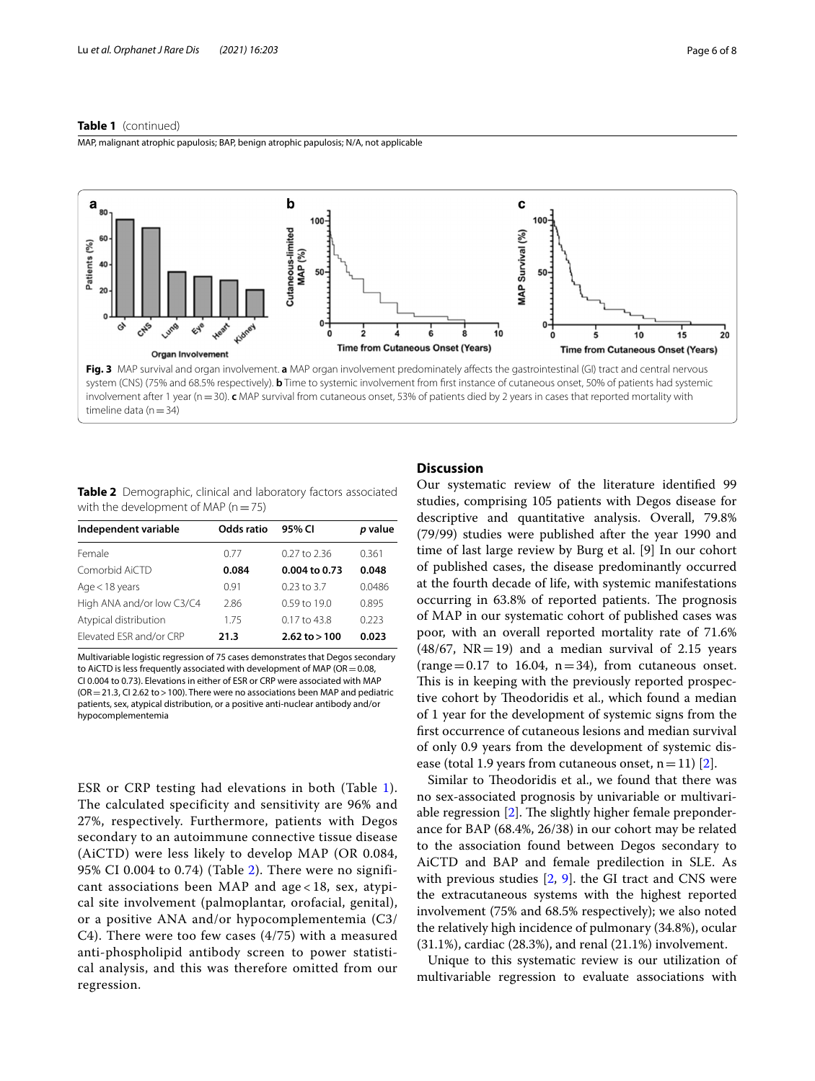MAP, malignant atrophic papulosis; BAP, benign atrophic papulosis; N/A, not applicable



<span id="page-5-1"></span><span id="page-5-0"></span>**Table 2** Demographic, clinical and laboratory factors associated with the development of MAP ( $n=75$ )

| Independent variable      | Odds ratio | 95% CI            | p value |
|---------------------------|------------|-------------------|---------|
| Female                    | 0.77       | $0.27$ to 2.36    | 0.361   |
| Comorbid AiCTD            | 0.084      | 0.004 to 0.73     | 0.048   |
| $Age < 18$ years          | 0.91       | $0.23$ to 3.7     | 0.0486  |
| High ANA and/or low C3/C4 | 2.86       | $0.59$ to 19.0    | 0.895   |
| Atypical distribution     | 1.75       | $0.17$ to 43.8    | 0.223   |
| Elevated ESR and/or CRP   | 21.3       | $2.62$ to $> 100$ | 0.023   |

Multivariable logistic regression of 75 cases demonstrates that Degos secondary to AiCTD is less frequently associated with development of MAP ( $OR = 0.08$ , CI 0.004 to 0.73). Elevations in either of ESR or CRP were associated with MAP  $(OR = 21.3, CI$  2.62 to > 100). There were no associations been MAP and pediatric patients, sex, atypical distribution, or a positive anti-nuclear antibody and/or hypocomplementemia

ESR or CRP testing had elevations in both (Table [1\)](#page-4-0). The calculated specificity and sensitivity are 96% and 27%, respectively. Furthermore, patients with Degos secondary to an autoimmune connective tissue disease (AiCTD) were less likely to develop MAP (OR 0.084, 95% CI 0.004 to 0.74) (Table [2\)](#page-5-1). There were no significant associations been MAP and age < 18, sex, atypical site involvement (palmoplantar, orofacial, genital), or a positive ANA and/or hypocomplementemia (C3/ C4). There were too few cases (4/75) with a measured anti-phospholipid antibody screen to power statistical analysis, and this was therefore omitted from our regression.

# **Discussion**

Our systematic review of the literature identifed 99 studies, comprising 105 patients with Degos disease for descriptive and quantitative analysis. Overall, 79.8% (79/99) studies were published after the year 1990 and time of last large review by Burg et al. [9] In our cohort of published cases, the disease predominantly occurred at the fourth decade of life, with systemic manifestations occurring in 63.8% of reported patients. The prognosis of MAP in our systematic cohort of published cases was poor, with an overall reported mortality rate of 71.6%  $(48/67, NR=19)$  and a median survival of 2.15 years (range  $=0.17$  to 16.04, n  $=34$ ), from cutaneous onset. This is in keeping with the previously reported prospective cohort by Theodoridis et al., which found a median of 1 year for the development of systemic signs from the frst occurrence of cutaneous lesions and median survival of only 0.9 years from the development of systemic disease (total 1.9 years from cutaneous onset,  $n=11$ ) [\[2\]](#page-7-1).

Similar to Theodoridis et al., we found that there was no sex-associated prognosis by univariable or multivariable regression  $[2]$  $[2]$ . The slightly higher female preponderance for BAP (68.4%, 26/38) in our cohort may be related to the association found between Degos secondary to AiCTD and BAP and female predilection in SLE. As with previous studies  $[2, 9]$  $[2, 9]$  $[2, 9]$ . the GI tract and CNS were the extracutaneous systems with the highest reported involvement (75% and 68.5% respectively); we also noted the relatively high incidence of pulmonary (34.8%), ocular (31.1%), cardiac (28.3%), and renal (21.1%) involvement.

Unique to this systematic review is our utilization of multivariable regression to evaluate associations with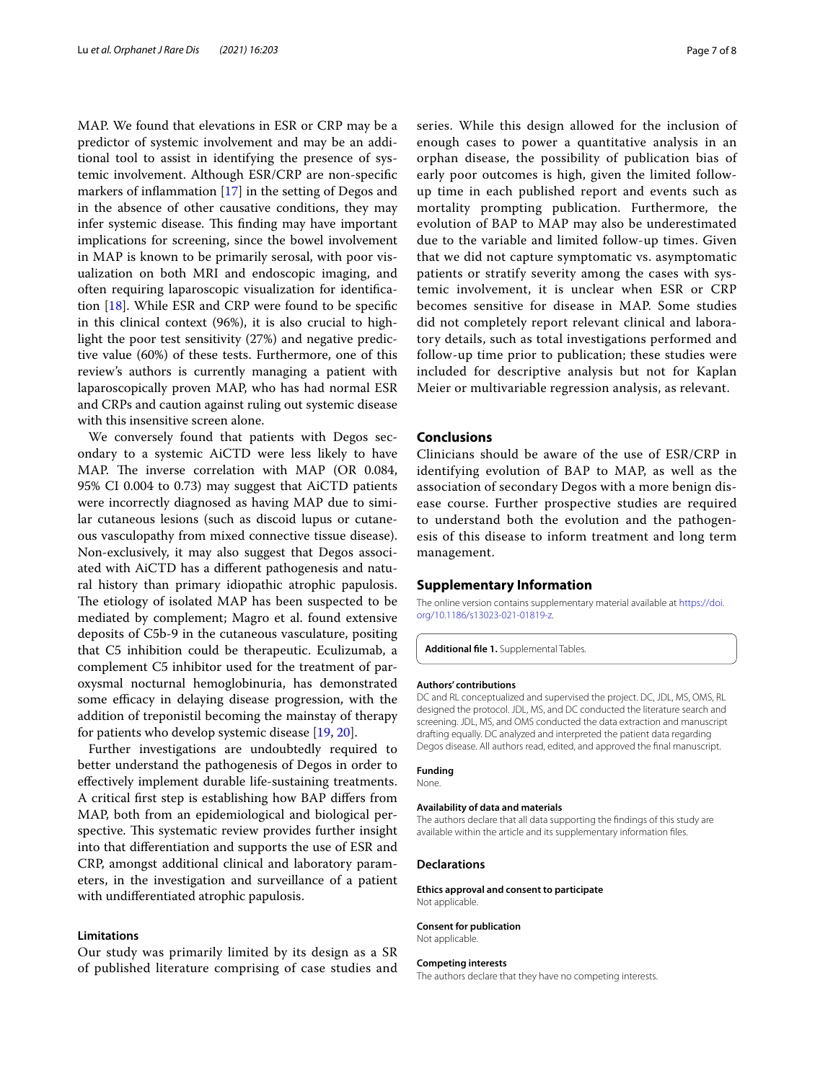MAP. We found that elevations in ESR or CRP may be a predictor of systemic involvement and may be an additional tool to assist in identifying the presence of systemic involvement. Although ESR/CRP are non-specifc markers of infammation [\[17](#page-7-15)] in the setting of Degos and in the absence of other causative conditions, they may infer systemic disease. This finding may have important implications for screening, since the bowel involvement in MAP is known to be primarily serosal, with poor visualization on both MRI and endoscopic imaging, and often requiring laparoscopic visualization for identifcation [\[18](#page-7-16)]. While ESR and CRP were found to be specifc in this clinical context (96%), it is also crucial to highlight the poor test sensitivity (27%) and negative predictive value (60%) of these tests. Furthermore, one of this review's authors is currently managing a patient with laparoscopically proven MAP, who has had normal ESR and CRPs and caution against ruling out systemic disease with this insensitive screen alone.

We conversely found that patients with Degos secondary to a systemic AiCTD were less likely to have MAP. The inverse correlation with MAP (OR 0.084, 95% CI 0.004 to 0.73) may suggest that AiCTD patients were incorrectly diagnosed as having MAP due to similar cutaneous lesions (such as discoid lupus or cutaneous vasculopathy from mixed connective tissue disease). Non-exclusively, it may also suggest that Degos associated with AiCTD has a diferent pathogenesis and natural history than primary idiopathic atrophic papulosis. The etiology of isolated MAP has been suspected to be mediated by complement; Magro et al. found extensive deposits of C5b-9 in the cutaneous vasculature, positing that C5 inhibition could be therapeutic. Eculizumab, a complement C5 inhibitor used for the treatment of paroxysmal nocturnal hemoglobinuria, has demonstrated some efficacy in delaying disease progression, with the addition of treponistil becoming the mainstay of therapy for patients who develop systemic disease [[19,](#page-7-17) [20\]](#page-7-18).

Further investigations are undoubtedly required to better understand the pathogenesis of Degos in order to efectively implement durable life-sustaining treatments. A critical frst step is establishing how BAP difers from MAP, both from an epidemiological and biological perspective. This systematic review provides further insight into that diferentiation and supports the use of ESR and CRP, amongst additional clinical and laboratory parameters, in the investigation and surveillance of a patient with undiferentiated atrophic papulosis.

#### **Limitations**

Our study was primarily limited by its design as a SR of published literature comprising of case studies and series. While this design allowed for the inclusion of enough cases to power a quantitative analysis in an orphan disease, the possibility of publication bias of early poor outcomes is high, given the limited followup time in each published report and events such as mortality prompting publication. Furthermore, the evolution of BAP to MAP may also be underestimated due to the variable and limited follow-up times. Given that we did not capture symptomatic vs. asymptomatic patients or stratify severity among the cases with systemic involvement, it is unclear when ESR or CRP becomes sensitive for disease in MAP. Some studies did not completely report relevant clinical and laboratory details, such as total investigations performed and follow-up time prior to publication; these studies were included for descriptive analysis but not for Kaplan Meier or multivariable regression analysis, as relevant.

## **Conclusions**

Clinicians should be aware of the use of ESR/CRP in identifying evolution of BAP to MAP, as well as the association of secondary Degos with a more benign disease course. Further prospective studies are required to understand both the evolution and the pathogenesis of this disease to inform treatment and long term management.

## **Supplementary Information**

The online version contains supplementary material available at [https://doi.](https://doi.org/10.1186/s13023-021-01819-z) [org/10.1186/s13023-021-01819-z.](https://doi.org/10.1186/s13023-021-01819-z)

<span id="page-6-0"></span>**Additional fle 1.** Supplemental Tables.

#### **Authors' contributions**

DC and RL conceptualized and supervised the project. DC, JDL, MS, OMS, RL designed the protocol. JDL, MS, and DC conducted the literature search and screening. JDL, MS, and OMS conducted the data extraction and manuscript drafting equally. DC analyzed and interpreted the patient data regarding Degos disease. All authors read, edited, and approved the fnal manuscript.

#### **Funding None**

# **Availability of data and materials**

The authors declare that all data supporting the fndings of this study are available within the article and its supplementary information fles.

#### **Declarations**

**Ethics approval and consent to participate** Not applicable.

## **Consent for publication**

Not applicable.

#### **Competing interests**

The authors declare that they have no competing interests.